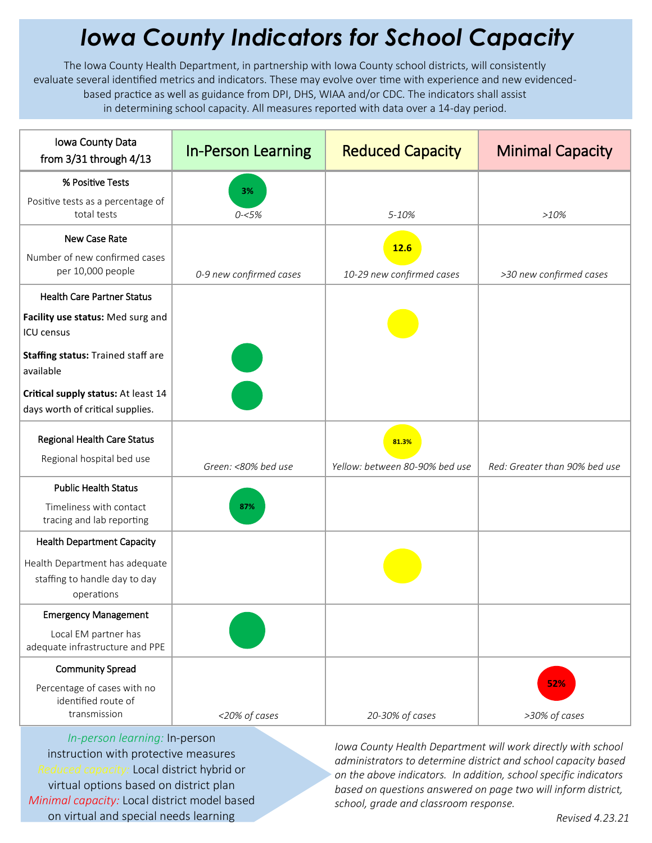## *Iowa County Indicators for School Capacity*

The Iowa County Health Department, in partnership with Iowa County school districts, will consistently evaluate several identified metrics and indicators. These may evolve over time with experience and new evidencedbased practice as well as guidance from DPI, DHS, WIAA and/or CDC. The indicators shall assist in determining school capacity. All measures reported with data over a 14-day period.

| Iowa County Data<br>from $3/31$ through $4/13$                                | <b>In-Person Learning</b> | <b>Reduced Capacity</b>        | <b>Minimal Capacity</b>       |
|-------------------------------------------------------------------------------|---------------------------|--------------------------------|-------------------------------|
| % Positive Tests                                                              | 3%                        |                                |                               |
| Positive tests as a percentage of<br>total tests                              | $0 - 5%$                  | 5-10%                          | $>10\%$                       |
| New Case Rate                                                                 |                           | 12.6                           |                               |
| Number of new confirmed cases<br>per 10,000 people                            | 0-9 new confirmed cases   | 10-29 new confirmed cases      | >30 new confirmed cases       |
| <b>Health Care Partner Status</b>                                             |                           |                                |                               |
| Facility use status: Med surg and<br><b>ICU</b> census                        |                           |                                |                               |
| Staffing status: Trained staff are<br>available                               |                           |                                |                               |
| Critical supply status: At least 14<br>days worth of critical supplies.       |                           |                                |                               |
| Regional Health Care Status<br>Regional hospital bed use                      |                           | 81.3%                          |                               |
|                                                                               | Green: <80% bed use       | Yellow: between 80-90% bed use | Red: Greater than 90% bed use |
| <b>Public Health Status</b>                                                   |                           |                                |                               |
| Timeliness with contact<br>tracing and lab reporting                          | 87%                       |                                |                               |
| <b>Health Department Capacity</b>                                             |                           |                                |                               |
| Health Department has adequate<br>staffing to handle day to day<br>operations |                           |                                |                               |
| <b>Emergency Management</b>                                                   |                           |                                |                               |
| Local EM partner has<br>adequate infrastructure and PPE                       |                           |                                |                               |
| <b>Community Spread</b>                                                       |                           |                                |                               |
| Percentage of cases with no<br>identified route of<br>transmission            | <20% of cases             | 20-30% of cases                | 52%<br>>30% of cases          |

*In-person learning:* In-person instruction with protective measures *Reduced capacity:* Local district hybrid or virtual options based on district plan *Minimal capacity:* Local district model based on virtual and special needs learning

*Iowa County Health Department will work directly with school administrators to determine district and school capacity based on the above indicators. In addition, school specific indicators based on questions answered on page two will inform district, school, grade and classroom response.*